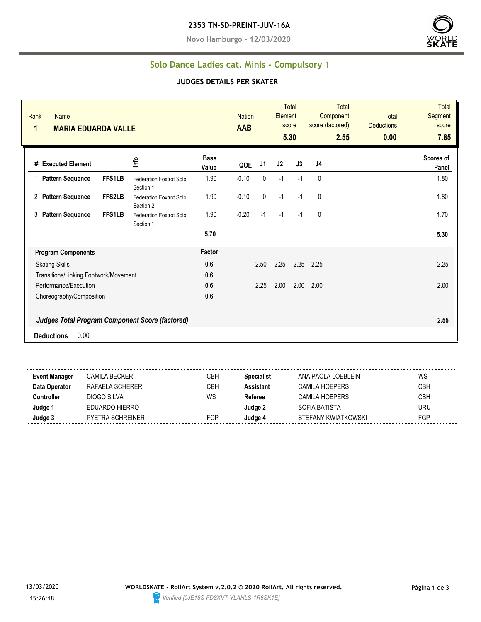**Novo Hamburgo - 12/03/2020**



### **Solo Dance Ladies cat. Minis - Compulsory 1**

#### **JUDGES DETAILS PER SKATER**

| Rank<br><b>Name</b><br>1<br><b>MARIA EDUARDA VALLE</b> |               |                                      |                      | <b>Nation</b><br><b>AAB</b> |                | Element | Total<br>score<br>5.30 | Total<br>Component<br>score (factored)<br>2.55 | <b>Total</b><br><b>Deductions</b><br>0.00 | <b>Total</b><br>Segment<br>score<br>7.85 |
|--------------------------------------------------------|---------------|--------------------------------------|----------------------|-----------------------------|----------------|---------|------------------------|------------------------------------------------|-------------------------------------------|------------------------------------------|
| # Executed Element                                     |               | lnfo                                 | <b>Base</b><br>Value | QOE                         | J <sub>1</sub> | J2      | J3                     | J4                                             |                                           | Scores of<br>Panel                       |
| <b>Pattern Sequence</b>                                | <b>FFS1LB</b> | Federation Foxtrot Solo<br>Section 1 | 1.90                 | $-0.10$                     | 0              | $-1$    | $-1$                   | 0                                              |                                           | 1.80                                     |
| 2 Pattern Sequence                                     | FFS2LB        | Federation Foxtrot Solo<br>Section 2 | 1.90                 | $-0.10$                     | 0              | $-1$    | $-1$                   | 0                                              |                                           | 1.80                                     |
| <b>Pattern Sequence</b><br>3                           | <b>FFS1LB</b> | Federation Foxtrot Solo<br>Section 1 | 1.90                 | $-0.20$                     | $-1$           | $-1$    | $-1$                   | 0                                              |                                           | 1.70                                     |
|                                                        |               |                                      | 5.70                 |                             |                |         |                        |                                                |                                           | 5.30                                     |
| <b>Program Components</b>                              |               |                                      | Factor               |                             |                |         |                        |                                                |                                           |                                          |
| <b>Skating Skills</b>                                  |               |                                      | 0.6                  |                             | 2.50           | 2.25    | 2.25 2.25              |                                                |                                           | 2.25                                     |
| Transitions/Linking Footwork/Movement                  |               |                                      | 0.6                  |                             |                |         |                        |                                                |                                           |                                          |
| Performance/Execution                                  |               |                                      | 0.6                  |                             | 2.25           | 2.00    | 2.00                   | 2.00                                           |                                           | 2.00                                     |
| Choreography/Composition                               |               |                                      | 0.6                  |                             |                |         |                        |                                                |                                           |                                          |
| <b>Judges Total Program Component Score (factored)</b> |               |                                      |                      |                             |                |         |                        |                                                |                                           | 2.55                                     |
| 0.00<br><b>Deductions</b>                              |               |                                      |                      |                             |                |         |                        |                                                |                                           |                                          |

| Event Manager | CAMILA BECKER           | СВН        | <b>Specialist</b> | ANA PAOLA LOEBLEIN    | WS         |
|---------------|-------------------------|------------|-------------------|-----------------------|------------|
| Data Operator | RAFAFI A SCHFRFR        | <b>CBH</b> | <b>Assistant</b>  | CAMILA HOFPERS        | <b>CBH</b> |
| Controller    | DIOGO SILVA             | WS         | Referee           | <b>CAMILA HOEPERS</b> | <b>CBH</b> |
| Judge 1       | EDUARDO HIERRO          |            | Judge 2           | SOFIA BATISTA         | <b>URU</b> |
| Judge 3       | <b>PYETRA SCHREINER</b> | FGP        | Judae 4           | STEFANY KWIATKOWSKI   | <b>FGP</b> |
|               |                         |            |                   |                       |            |

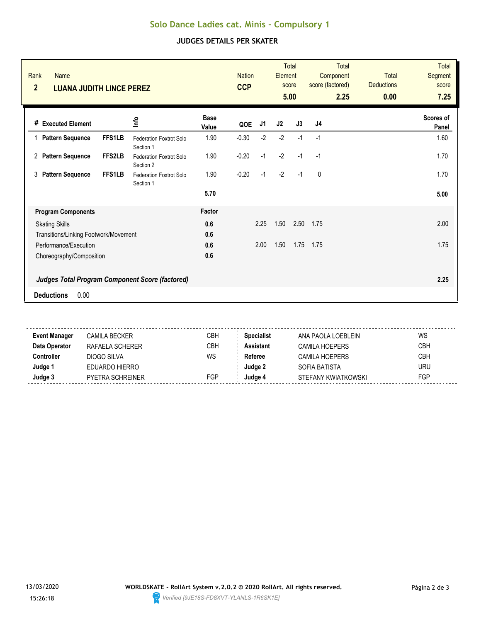# **Solo Dance Ladies cat. Minis - Compulsory 1**

### **JUDGES DETAILS PER SKATER**

| Rank<br>Name<br>$\overline{2}$<br><b>LUANA JUDITH LINCE PEREZ</b> |                                                 |                      | <b>Nation</b><br><b>CCP</b> |      | Element | <b>Total</b><br>score<br>5.00 | <b>Total</b><br>Component<br>score (factored)<br>2.25 | <b>Total</b><br><b>Deductions</b><br>0.00 | <b>Total</b><br><b>Segment</b><br>score<br>7.25 |
|-------------------------------------------------------------------|-------------------------------------------------|----------------------|-----------------------------|------|---------|-------------------------------|-------------------------------------------------------|-------------------------------------------|-------------------------------------------------|
| # Executed Element                                                | ٩ų                                              | <b>Base</b><br>Value | QOE                         | J1   | J2      | J3                            | J <sub>4</sub>                                        |                                           | Scores of<br>Panel                              |
| <b>Pattern Sequence</b><br><b>FFS1LB</b>                          | <b>Federation Foxtrot Solo</b><br>Section 1     | 1.90                 | $-0.30$                     | $-2$ | $-2$    | $-1$                          | $-1$                                                  |                                           | 1.60                                            |
| FFS2LB<br><b>Pattern Sequence</b><br>2                            | Federation Foxtrot Solo<br>Section 2            | 1.90                 | $-0.20$                     | $-1$ | $-2$    | $-1$                          | $-1$                                                  |                                           | 1.70                                            |
| <b>FFS1LB</b><br><b>Pattern Sequence</b><br>3                     | Federation Foxtrot Solo<br>Section 1            | 1.90                 | $-0.20$                     | $-1$ | $-2$    | $-1$                          | $\mathbf{0}$                                          |                                           | 1.70                                            |
|                                                                   |                                                 | 5.70                 |                             |      |         |                               |                                                       |                                           | 5.00                                            |
| <b>Program Components</b>                                         |                                                 | Factor               |                             |      |         |                               |                                                       |                                           |                                                 |
| <b>Skating Skills</b>                                             |                                                 | 0.6                  |                             | 2.25 | 1.50    | 2.50                          | 1.75                                                  |                                           | 2.00                                            |
| Transitions/Linking Footwork/Movement                             |                                                 | 0.6                  |                             |      |         |                               |                                                       |                                           |                                                 |
| Performance/Execution                                             |                                                 | 0.6                  |                             | 2.00 | 1.50    | 1.75                          | 1.75                                                  |                                           | 1.75                                            |
| Choreography/Composition                                          |                                                 | 0.6                  |                             |      |         |                               |                                                       |                                           |                                                 |
|                                                                   | Judges Total Program Component Score (factored) |                      |                             |      |         |                               |                                                       |                                           | 2.25                                            |
| 0.00<br><b>Deductions</b>                                         |                                                 |                      |                             |      |         |                               |                                                       |                                           |                                                 |

| <b>Event Manager</b> | CAMILA BECKER           | CBH | <b>Specialist</b> | ANA PAOLA LOEBLEIN  | WS         |
|----------------------|-------------------------|-----|-------------------|---------------------|------------|
| Data Operator        | RAFAELA SCHERER         | CBH | <b>Assistant</b>  | CAMILA HOFPFRS      | <b>CBH</b> |
| Controller           | DIOGO SILVA             | WS  | Referee           | CAMILA HOFPERS      | <b>CBH</b> |
| Judge 1              | EDUARDO HIERRO          |     | Judge 2           | SOFIA BATISTA       | URU        |
| Judge 3              | <b>PYETRA SCHREINER</b> | FGP | Judqe 4           | STEFANY KWIATKOWSKI | FGP        |